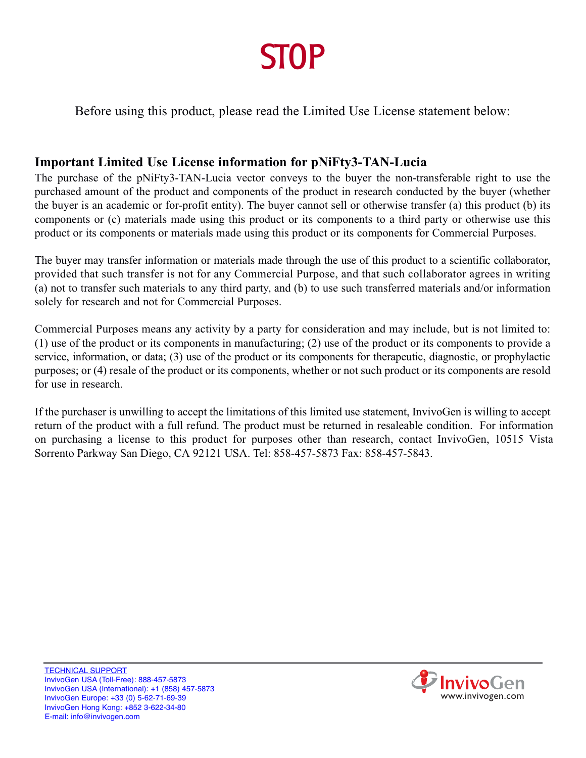# **STOP**

Before using this product, please read the Limited Use License statement below:

# **Important Limited Use License information for pNiFty3-TAN-Lucia**

The purchase of the pNiFty3-TAN-Lucia vector conveys to the buyer the non-transferable right to use the purchased amount of the product and components of the product in research conducted by the buyer (whether the buyer is an academic or for-profit entity). The buyer cannot sell or otherwise transfer (a) this product (b) its components or (c) materials made using this product or its components to a third party or otherwise use this product or its components or materials made using this product or its components for Commercial Purposes.

The buyer may transfer information or materials made through the use of this product to a scientific collaborator, provided that such transfer is not for any Commercial Purpose, and that such collaborator agrees in writing (a) not to transfer such materials to any third party, and (b) to use such transferred materials and/or information solely for research and not for Commercial Purposes.

Commercial Purposes means any activity by a party for consideration and may include, but is not limited to: (1) use of the product or its components in manufacturing; (2) use of the product or its components to provide a service, information, or data; (3) use of the product or its components for therapeutic, diagnostic, or prophylactic purposes; or (4) resale of the product or its components, whether or not such product or its components are resold for use in research.

If the purchaser is unwilling to accept the limitations of this limited use statement, InvivoGen is willing to accept return of the product with a full refund. The product must be returned in resaleable condition. For information on purchasing a license to this product for purposes other than research, contact InvivoGen, 10515 Vista Sorrento Parkway San Diego, CA 92121 USA. Tel: 858-457-5873 Fax: 858-457-5843.

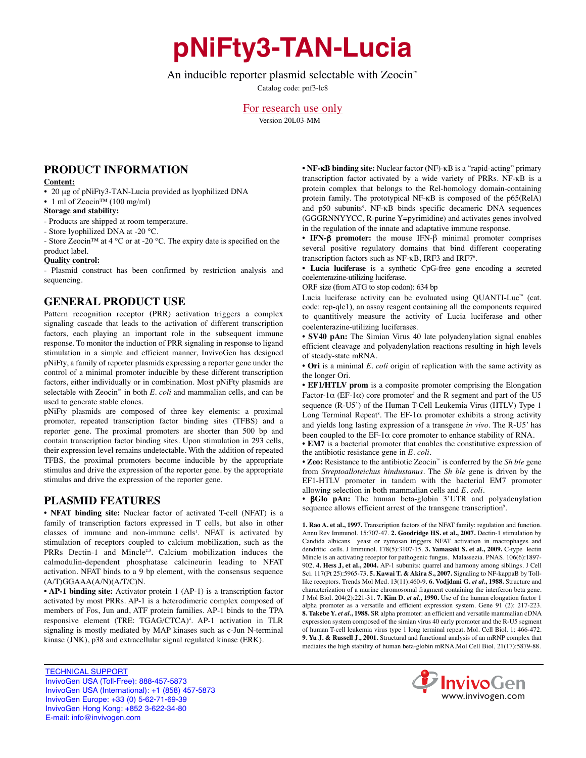# **pNiFty3-TAN-Lucia**

### An inducible reporter plasmid selectable with Zeocin<sup>™</sup>

Catalog code: pnf3-lc8

For research use only Version 20L03-MM

# **PRODUCT INFORMATION**

#### **Content:**

• 20 µg of pNiFty3-TAN-Lucia provided as lyophilized DNA

• 1 ml of Zeocin™ (100 mg/ml)

#### **Storage and stability:**

- Products are shipped at room temperature.

- Store lyophilized DNA at -20 °C.

- Store Zeocin™ at 4 °C or at -20 °C. The expiry date is specified on the product label.

#### **Quality control:**

- Plasmid construct has been confirmed by restriction analysis and sequencing.

## **GENERAL PRODUCT USE**

Pattern recognition receptor **(**PRR) activation triggers a complex signaling cascade that leads to the activation of different transcription factors, each playing an important role in the subsequent immune response. To monitor the induction of PRR signaling in response to ligand stimulation in a simple and efficient manner, InvivoGen has designed pNiFty, a family of reporter plasmids expressing a reporter gene under the control of a minimal promoter inducible by these different transcription factors, either individually or in combination. Most pNiFty plasmids are selectable with Zeocin<sup>™</sup> in both *E. coli* and mammalian cells, and can be used to generate stable clones.

pNiFty plasmids are composed of three key elements: a proximal promoter, repeated transcription factor binding sites (TFBS) and a reporter gene. The proximal promoters are shorter than 500 bp and contain transcription factor binding sites. Upon stimulation in 293 cells, their expression level remains undetectable. With the addition of repeated TFBS, the proximal promoters become inducible by the appropriate stimulus and drive the expression of the reporter gene. by the appropriate stimulus and drive the expression of the reporter gene.

# **PLASMID FEATURES**

**• NFAT binding site:** Nuclear factor of activated T-cell (NFAT) is a family of transcription factors expressed in T cells, but also in other classes of immune and non-immune cells<sup>1</sup>. NFAT is activated by stimulation of receptors coupled to calcium mobilization, such as the PRRs Dectin-1 and Mincle<sup>2,3</sup>. Calcium mobilization induces the calmodulin-dependent phosphatase calcineurin leading to NFAT activation. NFAT binds to a 9 bp element, with the consensus sequence (A/T)GGAAA(A/N)(A/T/C)N.

**• AP-1 binding site:** Activator protein 1 (AP-1) is a transcription factor activated by most PRRs. AP-1 is a heterodimeric complex composed of members of Fos, Jun and, ATF protein families. AP-1 binds to the TPA responsive element (TRE: TGAG/CTCA)<sup>4</sup>. AP-1 activation in TLR signaling is mostly mediated by MAP kinases such as c-Jun N-terminal kinase (JNK), p38 and extracellular signal regulated kinase (ERK).

**• NF-**κ**B binding site:** Nuclear factor (NF)-κB is a "rapid-acting" primary transcription factor activated by a wide variety of PRRs. NF-κB is a protein complex that belongs to the Rel-homology domain-containing protein family. The prototypical NF-κB is composed of the p65(RelA) and p50 subunits<sup>5</sup>. NF-κB binds specific decameric DNA sequences (GGGRNNYYCC, R-purine Y=pyrimidine) and activates genes involved in the regulation of the innate and adaptative immune response.

**• IFN-**β **promoter:** the mouse IFN-β minimal promoter comprises several positive regulatory domains that bind different cooperating transcription factors such as NF-κB, IRF3 and IRF7<sup>6</sup>.

**• Lucia luciferase** is a synthetic CpG-free gene encoding a secreted coelenterazine-utilizing luciferase.

ORF size (from ATG to stop codon): 634 bp

Lucia luciferase activity can be evaluated using QUANTI-Luc™ (cat. code: rep-qlc1), an assay reagent containing all the components required to quantitively measure the activity of Lucia luciferase and other coelenterazine-utilizing luciferases.

**• SV40 pAn:** The Simian Virus 40 late polyadenylation signal enables efficient cleavage and polyadenylation reactions resulting in high levels of steady-state mRNA.

**• Ori** is a minimal *E. coli* origin of replication with the same activity as the longer Ori.

**• EF1/HTLV prom** is a composite promoter comprising the Elongation Factor-1 $\alpha$  (EF-1 $\alpha$ ) core promoter<sup>7</sup> and the R segment and part of the U5 sequence (R-U5') of the Human T-Cell Leukemia Virus (HTLV) Type 1 Long Terminal Repeat<sup>8</sup>. The EF-1 $\alpha$  promoter exhibits a strong activity and yields long lasting expression of a transgene *in vivo*. The R-U5' has been coupled to the EF-1 $\alpha$  core promoter to enhance stability of RNA.

• **EM7** is a bacterial promoter that enables the constitutive expression of the antibiotic resistance gene in *E. coli.*

**• Zeo:** Resistance to the antibiotic Zeocin™ is conferred by the *Sh ble* gene from *Streptoalloteichus hindustanus*. The *Sh ble* gene is driven by the EF1-HTLV promoter in tandem with the bacterial EM7 promoter allowing selection in both mammalian cells and *E. coli*.

• β**Glo pAn:** The human beta-globin 3'UTR and polyadenylation sequence allows efficient arrest of the transgene transcription<sup>9</sup>.

**1. Rao A. et al., 1997.** Transcription factors of the NFAT family: regulation and function. Annu Rev Immunol. 15:707-47. **2. Goodridge HS. et al., 2007.** Dectin-1 stimulation by Candida albicans yeast or zymosan triggers NFAT activation in macrophages and dendritic cells. J Immunol. 178(5):3107-15. **3. Yamasaki S. et al., 2009.** C-type lectin Mincle is an activating receptor for pathogenic fungus, Malassezia. PNAS. 106(6):1897- 902. **4. Hess J, et al., 2004.** AP-1 subunits: quarrel and harmony among siblings. J Cell Sci. 117(Pt 25):5965-73. **5. Kawai T. & Akira S., 2007.** Signaling to NF-kappaB by Tolllike receptors. Trends Mol Med. 13(11):460-9. **6. Vodjdani G.** *et al***., 1988.** Structure and characterization of a murine chromosomal fragment containing the interferon beta gene. J Mol Biol. 204(2):221-31. **7. Kim D.** *et al***., 1990.** Use of the human elongation factor 1 alpha promoter as a versatile and efficient expression system. Gene 91 (2): 217-223. **8. Takebe Y.** *et al.***, 1988.** SR alpha promoter: an efficient and versatile mammalian cDNA expression system composed of the simian virus 40 early promoter and the R-U5 segment of human T-cell leukemia virus type 1 long terminal repeat. Mol. Cell Biol. 1: 466-472. **9. Yu J. & Russell J., 2001.** Structural and functional analysis of an mRNP complex that mediates the high stability of human beta-globin mRNA.Mol Cell Biol, 21(17):5879-88.

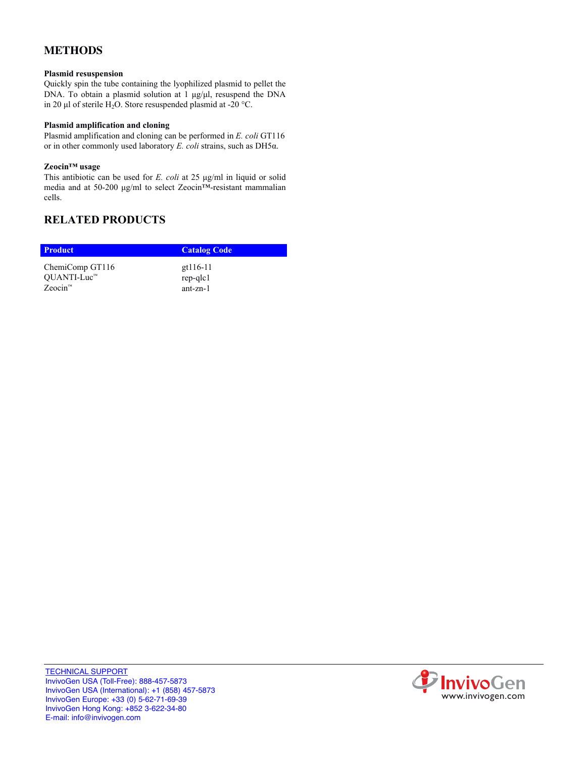# **METHODS**

#### **Plasmid resuspension**

Quickly spin the tube containing the lyophilized plasmid to pellet the DNA. To obtain a plasmid solution at 1 μg/μl, resuspend the DNA in 20 μl of sterile H<sub>2</sub>O. Store resuspended plasmid at -20 °C.

### **Plasmid amplification and cloning**

Plasmid amplification and cloning can be performed in *E. coli* GT116 or in other commonly used laboratory *E. coli* strains, such as DH5α.

#### **Zeocin™ usage**

This antibiotic can be used for *E. coli* at 25 μg/ml in liquid or solid media and at 50-200 μg/ml to select Zeocin™-resistant mammalian cells.

# **RELATED PRODUCTS**

| <b>Product</b>       | <b>Catalog Code</b> |
|----------------------|---------------------|
| ChemiComp GT116      | gt116-11            |
| OUANTI-Luc™          | rep-qlc1            |
| Zeocin <sup>7M</sup> | $ant-zn-1$          |

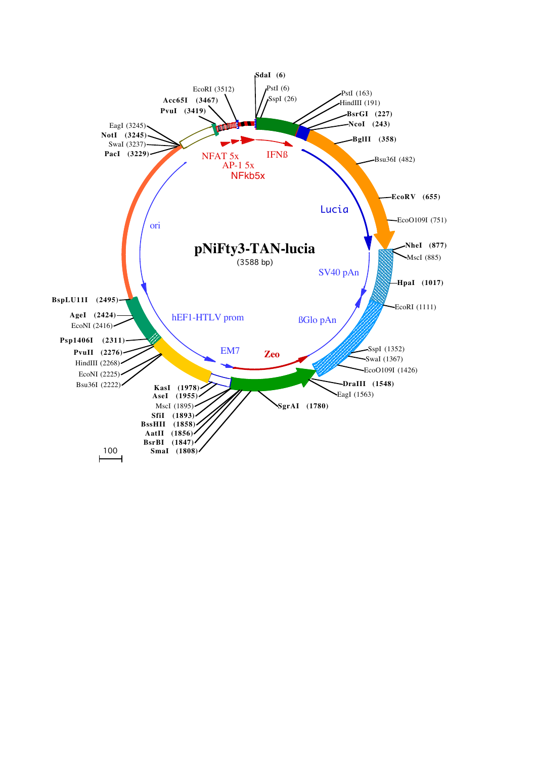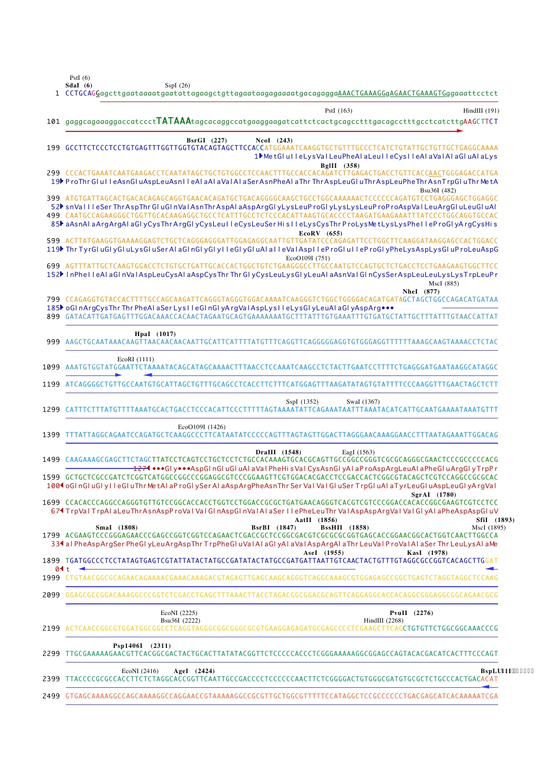PstI  $(6)$ 

|      | Sdal $(6)$<br>SspI(26)<br>1 CCTGCAGGagcttgaataaaatgaatattagaagctgttagaataagagaaaatgacagaggaAAACTGAAAGGgAGAACTGAAAGTGggaaattcctct                                                                                                                                                                                                                                                                                                                               |                  |
|------|----------------------------------------------------------------------------------------------------------------------------------------------------------------------------------------------------------------------------------------------------------------------------------------------------------------------------------------------------------------------------------------------------------------------------------------------------------------|------------------|
|      | PstI (163)<br>HindIII (191)                                                                                                                                                                                                                                                                                                                                                                                                                                    |                  |
|      | 101 gaggcagaaaggaccatccctTATAAAtagcacaggccatgaaggaagatcattctcactgcagcctttgacagcctttgcctcatcttgAAGCTTCT                                                                                                                                                                                                                                                                                                                                                         |                  |
|      | NcoI (243)<br>BsrGI (227)<br>199 GCCTTCTCCCTCCTGTGAGTTTGGTTGGTGTACAGTAGCTTCCACCATGGAAATCAAGGTGCTGTTTGCCCTCATCTGTATTGCTGTTGCTGAGGCAAAA<br>1MetGlulleLysValLeuPheAlaLeuIleCysIleAlaVaIAlaGluAlaLys                                                                                                                                                                                                                                                               |                  |
|      | BgIII (358)<br>299 CCCACTGAAATCAATGAAGACCTCAATATAGCTGCTGTGGCCTCCAACTTTGCCACCACAGATCTTGAGACTGACCTGTTCACCAACTGGGAGACCATGA<br>19} ProThr GlulleAsnGluAspLeuAsnIIeAlaAlaVaIAIaSerAsnPheAlaThrThrAspLeuGluThrAspLeuPheThrAsnTrpGluThrMetA<br>Bsu36I (482)                                                                                                                                                                                                           |                  |
|      | 399 ATGTGATTAGCACTGACACAGAGCAGGTGAACACAGATGCTGACAGGGGCAAGCTGCCTGGCAAAAAACTCCCCCCAGATGTCCTGAGGGAGCTGGAGGC<br>52 snVallleSer ThrAspThr GluGlnValAsnThrAspAlaAspArgGlyLysLeuProGlyLysLysLeuProProAspValLeuArgGluLeuGluAl<br>499 CAATGCCAGAAGGGCTGGTTGCACAAGAGGCTGCCTCATTTGCCTCTCCCACATTAAGTGCACCCCTAAGATGAAGAAATTTATCCCTGGCAGGTGCCAC<br>85} aAsnAlaArgArgAlaGlyCysThrArgGlyCysLeulleCysLeuSerHislleLysCysThrProLysMetLysLysPhelleProGlyArgCysHis<br>$EcoRV$ (655) |                  |
|      | 599 ACTTATGAAGGTGAAAAGGAGTCTGCTCAGGGAGGGATTGGAGAGGCAATTGTTGATATCCCAGAGATTCCTGGCTTCAAGGATAAGGAGCCACTGGACC<br>119 <sup>}</sup> Thr TyrGluGlyGluLysGluSerAlaGlnGlyGlylleGlyGluAlaIleValAsplleProGluIleProGlyPheLysAspLysGluProLeuAspG<br>EcoO109I (751)                                                                                                                                                                                                           |                  |
|      | 699 AGTTTATTGCTCAAGTGGACCTCTGTGCTGATTGCACCACTGGCTGTCTGAAGGGCCTTGCCAATGTCCAGTGCTCTGACCTCCTGAAGAAGTGGCTTCC<br>152 <sup>}</sup> InPhelleAlaGlnValAspLeuCysAlaAspCysThr Thr GlyCysLeuLysGlyLeuAlaAsnValGlnCysSerAspLeuLeuLysLysTrpLeuPr<br>MscI (885)<br><b>Nhel</b> (877)                                                                                                                                                                                         |                  |
|      | 185 Gl nArgCysThr Thr PheAl aSer Lys I leGl nGl yArgValAspLys I leLysGl yLeuAl aGl yAspArg<br>899 GATACATTGATGAGTTTGGACAAACCACAACTAGAATGCAGTGAAAAAAATGCTTTATTTGTGAAATTTGTGATGCTATTGCTTTATTTGTAACCATTAT                                                                                                                                                                                                                                                         |                  |
|      | HpaI (1017)                                                                                                                                                                                                                                                                                                                                                                                                                                                    |                  |
|      | EcoRI (1111)<br>1099 AAATGTGGTATGGAATTCTAAAATACAGCATAGCAAAACTTTAACCTCCAAATCAAGCCTCTACTTGAATCCTTTTCTGAGGGATGAATAAGGCATAGGC                                                                                                                                                                                                                                                                                                                                      |                  |
|      | 1199 ATCAGGGGCTGTTGCCAATGTGCATTAGCTGTTTGCAGCCTCACCTTCTTTCATGGAGTTTAAGATATAGTGTATTTTCCCAAGGTTTGAACTAGCTCTT                                                                                                                                                                                                                                                                                                                                                      |                  |
|      | SspI (1352)<br>SwaI (1367)                                                                                                                                                                                                                                                                                                                                                                                                                                     |                  |
| 1399 | EcoO109I (1426)<br>TTTATTAGGCAGAATCCAGATGCTCAAGGCCCTTCATAATATCCCCCAGTTTAGTAGTTGGACTTAGGGAACAAAGGAACCTTTAATAGAAATTGGACAG                                                                                                                                                                                                                                                                                                                                        |                  |
| 1499 | DraIII (1548)<br>EagI (1563)<br>1274 •••Gl y•••AspGl nGl uGl uAl aVal PheHi sVal CysAsnGl yAl aP roAspArgLeuAl aPheGl uArgGl yTrpPr<br>1599 GCTGCTCGCCGATCTCGGTCATGGCCGGCCCGGAGGCGTCCCGGAAGTTCGTGGACACGACCTCCGACCACTCGGCGTACAGCTCGTCCAGGCCGCGCAC<br>100 <sup>4</sup> oGI nGI uGI yIIeGI uThr MetAI aP roGI ySer AI aAspArgPheAsnThr Ser VaI VaIGI uSer TrpGI uAI aTyrLeuGI uAspLeuGI yArgVaI                                                                   |                  |
|      | SgrAI (1780)<br>1699 CCACACCCAGGCCAGGGTGTTGTCCGGCACCACCTGGTCCTGGACCGCGCTGATGAACAGGGTCACGTCCCCGGACCACACCGGCGAAGTCGTCCTCC<br>67 TrpVal TrpAl aLeuThrAsnAspProVal Val GlnAspGlnValAl aSer I lePheLeuThr ValAspAspArgVal Val GlyAl aPheAspAspGluV<br>AatII (1856)<br>SfiI (1893)                                                                                                                                                                                   |                  |
|      | <b>BssHII</b> (1858)<br>Smal (1808)<br><b>BsrBI</b> (1847)<br>MscI (1895)<br>1799 ACGAAGTCCCGGGAGAACCCGAGCCGGTCGGTCCAGAACTCGACCGCTCCGGCGACGTCGCGCGGTGAGCACCGGAACGGCACTGGTCAACTTGGCCA<br>334 al PheAspArgSer PheGlyLeuArgAspThr TrpPheGluValAlaGlyAlaValAspArgAlaThr LeuVal ProValAlaSer Thr LeuLysAlaMe                                                                                                                                                        |                  |
|      | AseI (1955)<br>KasI (1978)<br>04 t                                                                                                                                                                                                                                                                                                                                                                                                                             |                  |
|      |                                                                                                                                                                                                                                                                                                                                                                                                                                                                |                  |
|      | 2099 GGAGCGCCGGACAAAGGCCCGGTCTCGACCTGAGCTTTAAACTTACCTAGACGGCGGACGCAGTTCAGGAGGCACCACAGGCGGGAGGCGGCAGAACGCG                                                                                                                                                                                                                                                                                                                                                      |                  |
|      | EcoNI (2225)<br>PvuII $(2276)$<br>Bsu36I (2222)<br>HindIII $(2268)$                                                                                                                                                                                                                                                                                                                                                                                            |                  |
|      | Psp1406I (2311)<br>2299 TTGCGAAAAAGAACGTTCACGGCGACTACTGCACTTATATACGGTTCTCCCCCACCCTCGGGAAAAAGGCGGAGCCAGTACACGACATCACTTTCCCAGT                                                                                                                                                                                                                                                                                                                                   |                  |
| 2399 | EcoNI (2416)<br>AgeI (2424)<br>TTACCCCGCGCCACCTTCTCTAGGCACCGGTTCAATTGCCGACCCCTCCCCCAACTTCTCGGGGACTGTGGCGATGTGCGCTCTGCCCACTGACACAT                                                                                                                                                                                                                                                                                                                              | BspLU11I'*46; 7+ |
|      | 2499 GTGAGCAAAAGGCCAGCAAAAGGCCAGGAACCGTAAAAAGGCCGCGTTTGCTGGCGTTTTTCCATAGGCTCCGCCCCCCTGACGAGCATCACAAAAATCGA                                                                                                                                                                                                                                                                                                                                                     |                  |